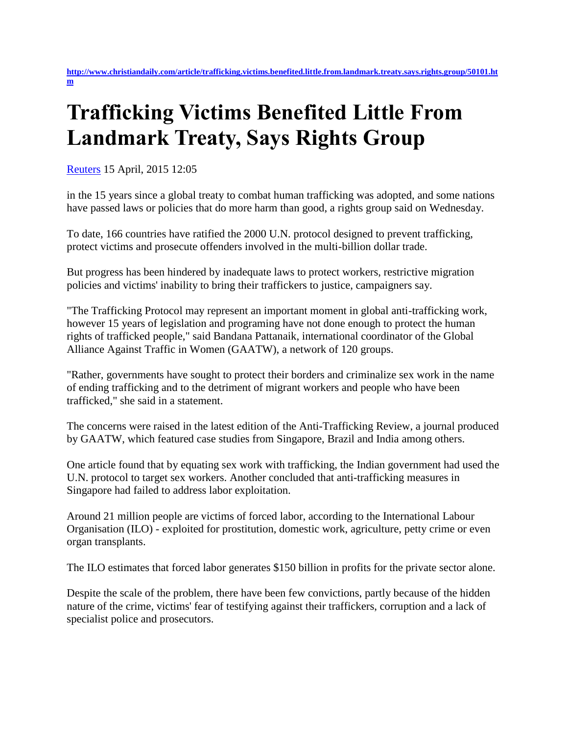## **Trafficking Victims Benefited Little From Landmark Treaty, Says Rights Group**

[Reuters](http://www.christiandaily.com/article/trafficking.victims.benefited.little.from.landmark.treaty.says.rights.group/50101.htm) 15 April, 2015 12:05

in the 15 years since a global treaty to combat human trafficking was adopted, and some nations have passed laws or policies that do more harm than good, a rights group said on Wednesday.

To date, 166 countries have ratified the 2000 U.N. protocol designed to prevent trafficking, protect victims and prosecute offenders involved in the multi-billion dollar trade.

But progress has been hindered by inadequate laws to protect workers, restrictive migration policies and victims' inability to bring their traffickers to justice, campaigners say.

"The Trafficking Protocol may represent an important moment in global anti-trafficking work, however 15 years of legislation and programing have not done enough to protect the human rights of trafficked people," said Bandana Pattanaik, international coordinator of the Global Alliance Against Traffic in Women (GAATW), a network of 120 groups.

"Rather, governments have sought to protect their borders and criminalize sex work in the name of ending trafficking and to the detriment of migrant workers and people who have been trafficked," she said in a statement.

The concerns were raised in the latest edition of the Anti-Trafficking Review, a journal produced by GAATW, which featured case studies from Singapore, Brazil and India among others.

One article found that by equating sex work with trafficking, the Indian government had used the U.N. protocol to target sex workers. Another concluded that anti-trafficking measures in Singapore had failed to address labor exploitation.

Around 21 million people are victims of forced labor, according to the International Labour Organisation (ILO) - exploited for prostitution, domestic work, agriculture, petty crime or even organ transplants.

The ILO estimates that forced labor generates \$150 billion in profits for the private sector alone.

Despite the scale of the problem, there have been few convictions, partly because of the hidden nature of the crime, victims' fear of testifying against their traffickers, corruption and a lack of specialist police and prosecutors.